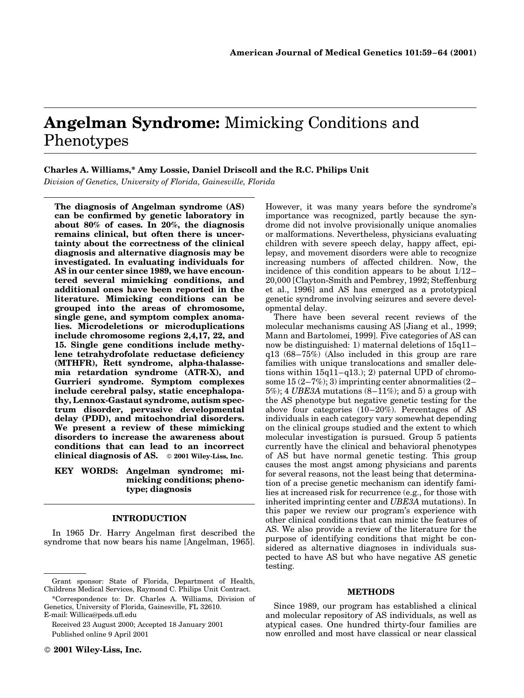# Angelman Syndrome: Mimicking Conditions and Phenotypes

# Charles A. Williams,\* Amy Lossie, Daniel Driscoll and the R.C. Philips Unit

Division of Genetics, University of Florida, Gainesville, Florida

The diagnosis of Angelman syndrome (AS) can be confirmed by genetic laboratory in about 80% of cases. In 20%, the diagnosis remains clinical, but often there is uncertainty about the correctness of the clinical diagnosis and alternative diagnosis may be investigated. In evaluating individuals for AS in our center since 1989, we have encountered several mimicking conditions, and additional ones have been reported in the literature. Mimicking conditions can be grouped into the areas of chromosome, single gene, and symptom complex anomalies. Microdeletions or microduplications include chromosome regions 2,4,17, 22, and 15. Single gene conditions include methylene tetrahydrofolate reductase deficiency (MTHFR), Rett syndrome, alpha-thalassemia retardation syndrome (ATR-X), and Gurrieri syndrome. Symptom complexes include cerebral palsy, static encephalopathy, Lennox-Gastaut syndrome, autism spectrum disorder, pervasive developmental delay (PDD), and mitochondrial disorders. We present a review of these mimicking disorders to increase the awareness about conditions that can lead to an incorrect clinical diagnosis of AS.  $\circ$  2001 Wiley-Liss, Inc.

## KEY WORDS: Angelman syndrome; mimicking conditions; phenotype; diagnosis

# INTRODUCTION

In 1965 Dr. Harry Angelman first described the syndrome that now bears his name [Angelman, 1965].

Received 23 August 2000; Accepted 18 January 2001 Published online 9 April 2001

However, it was many years before the syndrome's importance was recognized, partly because the syndrome did not involve provisionally unique anomalies or malformations. Nevertheless, physicians evaluating children with severe speech delay, happy affect, epilepsy, and movement disorders were able to recognize increasing numbers of affected children. Now, the incidence of this condition appears to be about  $1/12-$ 20,000 [Clayton-Smith and Pembrey, 1992; Steffenburg et al., 1996] and AS has emerged as a prototypical genetic syndrome involving seizures and severe developmental delay.

There have been several recent reviews of the molecular mechanisms causing AS [Jiang et al., 1999; Mann and Bartolomei, 1999]. Five categories of AS can now be distinguished: 1) maternal deletions of  $15q11$  $q13$  (68-75%) (Also included in this group are rare families with unique translocations and smaller deletions within  $15q11-q13$ .); 2) paternal UPD of chromosome  $15(2–7\%)$ ; 3) imprinting center abnormalities (2–  $5\%)$ ; 4 *UBE3A* mutations  $(8-11\%)$ ; and 5) a group with the AS phenotype but negative genetic testing for the above four categories  $(10-20\%)$ . Percentages of AS individuals in each category vary somewhat depending on the clinical groups studied and the extent to which molecular investigation is pursued. Group 5 patients currently have the clinical and behavioral phenotypes of AS but have normal genetic testing. This group causes the most angst among physicians and parents for several reasons, not the least being that determination of a precise genetic mechanism can identify families at increased risk for recurrence (e.g., for those with inherited imprinting center and UBE3A mutations). In this paper we review our program's experience with other clinical conditions that can mimic the features of AS. We also provide a review of the literature for the purpose of identifying conditions that might be considered as alternative diagnoses in individuals suspected to have AS but who have negative AS genetic testing.

#### METHODS

Since 1989, our program has established a clinical and molecular repository of AS individuals, as well as atypical cases. One hundred thirty-four families are now enrolled and most have classical or near classical

Grant sponsor: State of Florida, Department of Health, Childrens Medical Services, Raymond C. Philips Unit Contract.

<sup>\*</sup>Correspondence to: Dr. Charles A. Williams, Division of Genetics, University of Florida, Gainesville, FL 32610. E-mail: Willica@peds.ufl.edu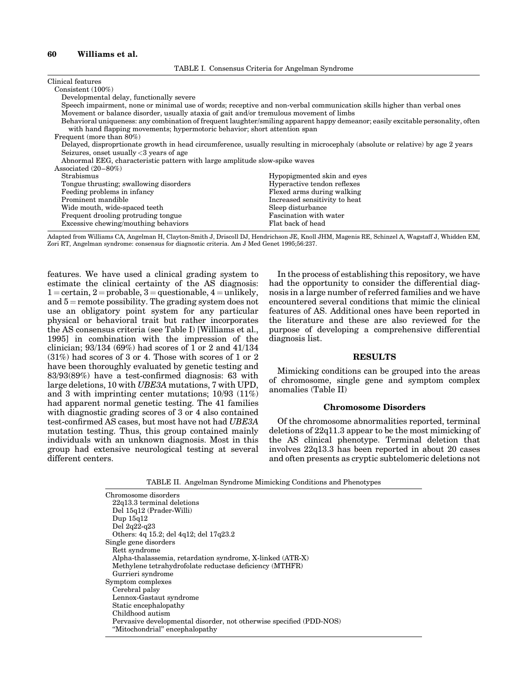## 60 Williams et al.

| Clinical features                                                                                                                |                               |
|----------------------------------------------------------------------------------------------------------------------------------|-------------------------------|
| Consistent $(100\%)$                                                                                                             |                               |
| Developmental delay, functionally severe                                                                                         |                               |
| Speech impairment, none or minimal use of words; receptive and non-verbal communication skills higher than verbal ones           |                               |
| Movement or balance disorder, usually ataxia of gait and/or tremulous movement of limbs                                          |                               |
| Behavioral uniqueness: any combination of frequent laughter/smiling apparent happy demeanor; easily excitable personality, often |                               |
| with hand flapping movements; hypermotoric behavior; short attention span                                                        |                               |
| Frequent (more than 80%)                                                                                                         |                               |
| Delayed, disproprtionate growth in head circumference, usually resulting in microcephaly (absolute or relative) by age 2 years   |                               |
| Seizures, onset usually $<$ 3 years of age                                                                                       |                               |
| Abnormal EEG, characteristic pattern with large amplitude slow-spike waves                                                       |                               |
| Associated $(20-80\%)$                                                                                                           |                               |
| Strabismus                                                                                                                       | Hypopigmented skin and eyes   |
| Tongue thrusting; swallowing disorders                                                                                           | Hyperactive tendon reflexes   |
| Feeding problems in infancy                                                                                                      | Flexed arms during walking    |
| Prominent mandible                                                                                                               | Increased sensitivity to heat |
| Wide mouth, wide-spaced teeth                                                                                                    | Sleep disturbance             |
| Frequent drooling protruding tongue                                                                                              | Fascination with water        |
| Excessive chewing/mouthing behaviors                                                                                             | Flat back of head             |

Adapted from Williams CA, Angelman H, Clayton-Smith J, Driscoll DJ, Hendrichson JE, Knoll JHM, Magenis RE, Schinzel A, Wagstaff J, Whidden EM, Zori RT, Angelman syndrome: consensus for diagnostic criteria. Am J Med Genet 1995;56:237.

features. We have used a clinical grading system to estimate the clinical certainty of the AS diagnosis:  $1 =$ certain,  $2 =$ probable,  $3 =$ questionable,  $4 =$ unlikely, and  $5$  = remote possibility. The grading system does not use an obligatory point system for any particular physical or behavioral trait but rather incorporates the AS consensus criteria (see Table I) [Williams et al., 1995] in combination with the impression of the clinician; 93/134 (69%) had scores of 1 or 2 and 41/134 (31%) had scores of 3 or 4. Those with scores of 1 or 2 have been thoroughly evaluated by genetic testing and  $83/93(89%)$  have a test-confirmed diagnosis: 63 with large deletions, 10 with UBE3A mutations, 7 with UPD, and 3 with imprinting center mutations; 10/93 (11%) had apparent normal genetic testing. The 41 families with diagnostic grading scores of 3 or 4 also contained test-confirmed AS cases, but most have not had UBE3A mutation testing. Thus, this group contained mainly individuals with an unknown diagnosis. Most in this group had extensive neurological testing at several different centers.

In the process of establishing this repository, we have had the opportunity to consider the differential diagnosis in a large number of referred families and we have encountered several conditions that mimic the clinical features of AS. Additional ones have been reported in the literature and these are also reviewed for the purpose of developing a comprehensive differential diagnosis list.

#### RESULTS

Mimicking conditions can be grouped into the areas of chromosome, single gene and symptom complex anomalies (Table II)

#### Chromosome Disorders

Of the chromosome abnormalities reported, terminal deletions of 22q11.3 appear to be the most mimicking of the AS clinical phenotype. Terminal deletion that involves 22q13.3 has been reported in about 20 cases and often presents as cryptic subtelomeric deletions not

TABLE II. Angelman Syndrome Mimicking Conditions and Phenotypes

| Chromosome disorders                                                |
|---------------------------------------------------------------------|
| $22q13.3$ terminal deletions                                        |
| Del 15q12 (Prader-Willi)                                            |
| Dup $15q12$                                                         |
| Del $2q22-q23$                                                      |
| Others: 4q 15.2; del 4q12; del 17q23.2                              |
| Single gene disorders                                               |
| Rett syndrome                                                       |
| Alpha-thalassemia, retardation syndrome, X-linked (ATR-X)           |
| Methylene tetrahydrofolate reductase deficiency (MTHFR)             |
| Gurrieri syndrome                                                   |
| Symptom complexes                                                   |
| Cerebral palsy                                                      |
| Lennox-Gastaut syndrome                                             |
| Static encephalopathy                                               |
| Childhood autism                                                    |
| Pervasive developmental disorder, not otherwise specified (PDD-NOS) |
| "Mitochondrial" encephalopathy                                      |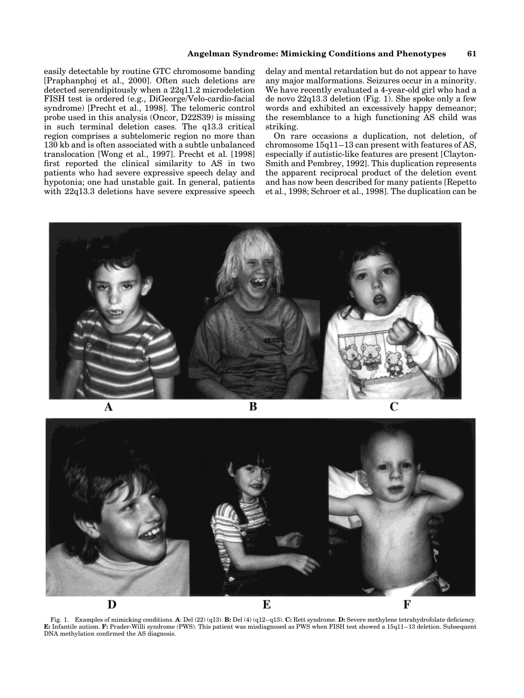easily detectable by routine GTC chromosome banding [Praphanphoj et al., 2000]. Often such deletions are detected serendipitously when a 22q11.2 microdeletion FISH test is ordered (e.g., DiGeorge/Velo-cardio-facial syndrome) [Precht et al., 1998]. The telomeric control probe used in this analysis (Oncor, D22S39) is missing in such terminal deletion cases. The q13.3 critical region comprises a subtelomeric region no more than 130 kb and is often associated with a subtle unbalanced translocation [Wong et al., 1997]. Precht et al. [1998] first reported the clinical similarity to AS in two patients who had severe expressive speech delay and hypotonia; one had unstable gait. In general, patients with 22q13.3 deletions have severe expressive speech

delay and mental retardation but do not appear to have any major malformations. Seizures occur in a minority. We have recently evaluated a 4-year-old girl who had a de novo 22q13.3 deletion (Fig. 1). She spoke only a few words and exhibited an excessively happy demeanor; the resemblance to a high functioning AS child was striking.

On rare occasions a duplication, not deletion, of chromosome  $15q11-13$  can present with features of AS, especially if autistic-like features are present [Clayton-Smith and Pembrey, 1992]. This duplication represents the apparent reciprocal product of the deletion event and has now been described for many patients [Repetto et al., 1998; Schroer et al., 1998]. The duplication can be



B



Fig. 1. Examples of mimicking conditions. A: Del (22) (q13). B: Del (4) (q12-q13). C: Rett syndrome. D: Severe methylene tetrahydrofolate deficiency. E: Infantile autism. F: Prader-Willi syndrome (PWS). This patient was misdiagnosed as PWS when FISH test showed a 15q11-13 deletion. Subsequent DNA methylation confirmed the AS diagnosis.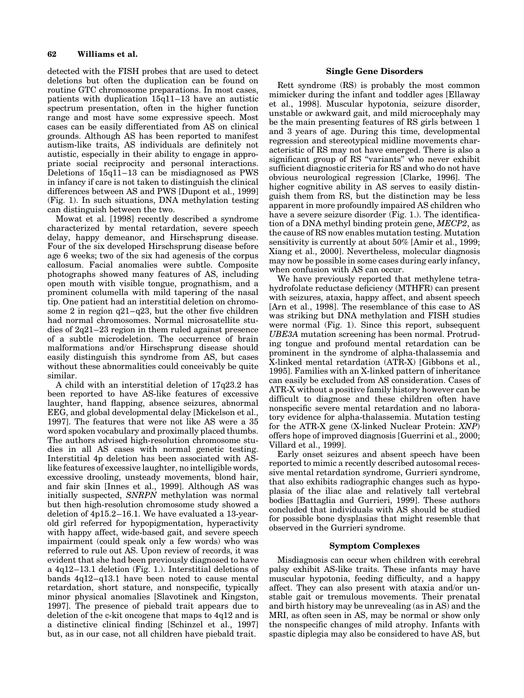detected with the FISH probes that are used to detect deletions but often the duplication can be found on routine GTC chromosome preparations. In most cases, patients with duplication  $15q11-13$  have an autistic spectrum presentation, often in the higher function range and most have some expressive speech. Most cases can be easily differentiated from AS on clinical grounds. Although AS has been reported to manifest autism-like traits, AS individuals are definitely not autistic, especially in their ability to engage in appropriate social reciprocity and personal interactions. Deletions of  $15q11-13$  can be misdiagnosed as PWS in infancy if care is not taken to distinguish the clinical differences between AS and PWS [Dupont et al., 1999] (Fig. 1). In such situations, DNA methylation testing can distinguish between the two.

Mowat et al. [1998] recently described a syndrome characterized by mental retardation, severe speech delay, happy demeanor, and Hirschsprung disease. Four of the six developed Hirschsprung disease before age 6 weeks; two of the six had agenesis of the corpus callosum. Facial anomalies were subtle. Composite photographs showed many features of AS, including open mouth with visible tongue, prognathism, and a prominent columella with mild tapering of the nasal tip. One patient had an interstitial deletion on chromosome 2 in region  $q21-q23$ , but the other five children had normal chromosomes. Normal microsatellite studies of  $2q21-23$  region in them ruled against presence of a subtle microdeletion. The occurrence of brain malformations and/or Hirschsprung disease should easily distinguish this syndrome from AS, but cases without these abnormalities could conceivably be quite similar.

A child with an interstitial deletion of 17q23.2 has been reported to have AS-like features of excessive laughter, hand flapping, absence seizures, abnormal EEG, and global developmental delay [Mickelson et al., 1997]. The features that were not like AS were a 35 word spoken vocabulary and proximally placed thumbs. The authors advised high-resolution chromosome studies in all AS cases with normal genetic testing. Interstitial 4p deletion has been associated with ASlike features of excessive laughter, no intelligible words, excessive drooling, unsteady movements, blond hair, and fair skin [Innes et al., 1999]. Although AS was initially suspected, SNRPN methylation was normal but then high-resolution chromosome study showed a deletion of  $4p15.2-16.1$ . We have evaluated a 13-yearold girl referred for hypopigmentation, hyperactivity with happy affect, wide-based gait, and severe speech impairment (could speak only a few words) who was referred to rule out AS. Upon review of records, it was evident that she had been previously diagnosed to have a  $4q12-13.1$  deletion (Fig. 1.). Interstitial deletions of bands  $4q12-q13.1$  have been noted to cause mental retardation, short stature, and nonspecific, typically minor physical anomalies [Slavotinek and Kingston, 1997]. The presence of piebald trait appears due to deletion of the c-kit oncogene that maps to 4q12 and is a distinctive clinical finding [Schinzel et al., 1997] but, as in our case, not all children have piebald trait.

### Single Gene Disorders

Rett syndrome (RS) is probably the most common mimicker during the infant and toddler ages [Ellaway et al., 1998]. Muscular hypotonia, seizure disorder, unstable or awkward gait, and mild microcephaly may be the main presenting features of RS girls between 1 and 3 years of age. During this time, developmental regression and stereotypical midline movements characteristic of RS may not have emerged. There is also a significant group of RS "variants" who never exhibit sufficient diagnostic criteria for RS and who do not have obvious neurological regression [Clarke, 1996]. The higher cognitive ability in AS serves to easily distinguish them from RS, but the distinction may be less apparent in more profoundly impaired AS children who have a severe seizure disorder (Fig. 1.). The identification of a DNA methyl binding protein gene, MECP2, as the cause of RS now enables mutation testing. Mutation sensitivity is currently at about 50% [Amir et al., 1999; Xiang et al., 2000]. Nevertheless, molecular diagnosis may now be possible in some cases during early infancy, when confusion with AS can occur.

We have previously reported that methylene tetrahydrofolate reductase deficiency (MTHFR) can present with seizures, ataxia, happy affect, and absent speech [Arn et al., 1998]. The resemblance of this case to AS was striking but DNA methylation and FISH studies were normal (Fig. 1). Since this report, subsequent UBE3A mutation screening has been normal. Protruding tongue and profound mental retardation can be prominent in the syndrome of alpha-thalassemia and X-linked mental retardation (ATR-X) [Gibbons et al., 1995]. Families with an X-linked pattern of inheritance can easily be excluded from AS consideration. Cases of ATR-X without a positive family history however can be difficult to diagnose and these children often have nonspecific severe mental retardation and no laboratory evidence for alpha-thalassemia. Mutation testing for the ATR-X gene (X-linked Nuclear Protein: XNP) offers hope of improved diagnosis [Guerrini et al., 2000; Villard et al., 1999].

Early onset seizures and absent speech have been reported to mimic a recently described autosomal recessive mental retardation syndrome, Gurrieri syndrome, that also exhibits radiographic changes such as hypoplasia of the iliac alae and relatively tall vertebral bodies [Battaglia and Gurrieri, 1999]. These authors concluded that individuals with AS should be studied for possible bone dysplasias that might resemble that observed in the Gurrieri syndrome.

#### Symptom Complexes

Misdiagnosis can occur when children with cerebral palsy exhibit AS-like traits. These infants may have muscular hypotonia, feeding difficulty, and a happy affect. They can also present with ataxia and/or unstable gait or tremulous movements. Their prenatal and birth history may be unrevealing (as in AS) and the MRI, as often seen in AS, may be normal or show only the nonspecific changes of mild atrophy. Infants with spastic diplegia may also be considered to have AS, but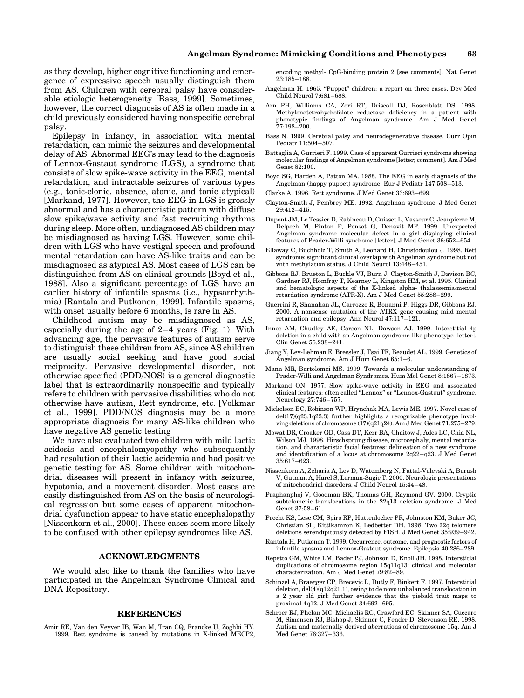as they develop, higher cognitive functioning and emergence of expressive speech usually distinguish them from AS. Children with cerebral palsy have considerable etiologic heterogeneity [Bass, 1999]. Sometimes, however, the correct diagnosis of AS is often made in a child previously considered having nonspecific cerebral palsy.

Epilepsy in infancy, in association with mental retardation, can mimic the seizures and developmental delay of AS. Abnormal EEG's may lead to the diagnosis of Lennox-Gastaut syndrome (LGS), a syndrome that consists of slow spike-wave activity in the EEG, mental retardation, and intractable seizures of various types (e.g., tonic-clonic, absence, atonic, and tonic atypical) [Markand, 1977]. However, the EEG in LGS is grossly abnormal and has a characteristic pattern with diffuse slow spike/wave activity and fast recruiting rhythms during sleep. More often, undiagnosed AS children may be misdiagnosed as having LGS. However, some children with LGS who have vestigal speech and profound mental retardation can have AS-like traits and can be misdiagnosed as atypical AS. Most cases of LGS can be distinguished from AS on clinical grounds [Boyd et al., 1988]. Also a significant percentage of LGS have an earlier history of infantile spasms (i.e., hypsarrhythmia) [Rantala and Putkonen, 1999]. Infantile spasms, with onset usually before 6 months, is rare in AS.

Childhood autism may be misdiagnosed as AS, especially during the age of  $2-4$  years (Fig. 1). With advancing age, the pervasive features of autism serve to distinguish these children from AS, since AS children are usually social seeking and have good social reciprocity. Pervasive developmental disorder, not otherwise specified (PDD/NOS) is a general diagnostic label that is extraordinarily nonspecific and typically refers to children with pervasive disabilities who do not otherwise have autism, Rett syndrome, etc. [Volkmar et al., 1999]. PDD/NOS diagnosis may be a more appropriate diagnosis for many AS-like children who have negative AS genetic testing

We have also evaluated two children with mild lactic acidosis and encephalomyopathy who subsequently had resolution of their lactic acidemia and had positive genetic testing for AS. Some children with mitochondrial diseases will present in infancy with seizures, hypotonia, and a movement disorder. Most cases are easily distinguished from AS on the basis of neurological regression but some cases of apparent mitochondrial dysfunction appear to have static encephalopathy [Nissenkorn et al., 2000]. These cases seem more likely to be confused with other epilepsy syndromes like AS.

## ACKNOWLEDGMENTS

We would also like to thank the families who have participated in the Angelman Syndrome Clinical and DNA Repository.

#### REFERENCES

Amir RE, Van den Veyver IB, Wan M, Tran CQ, Francke U, Zoghbi HY. 1999. Rett syndrome is caused by mutations in X-linked MECP2, encoding methyl- CpG-binding protein 2 [see comments]. Nat Genet 23:185±188.

- Angelman H. 1965. "Puppet" children: a report on three cases. Dev Med Child Neurol  $7:681-\overline{688}$ .
- Arn PH, Williams CA, Zori RT, Driscoll DJ, Rosenblatt DS. 1998. Methylenetetrahydrofolate reductase deficiency in a patient with phenotypic findings of Angelman syndrome. Am J Med Genet 77:198±200.
- Bass N. 1999. Cerebral palsy and neurodegenerative disease. Curr Opin Pediatr 11:504-507.
- Battaglia A, Gurrieri F. 1999. Case of apparent Gurrieri syndrome showing molecular findings of Angelman syndrome [letter; comment]. Am J Med Genet 82:100.
- Boyd SG, Harden A, Patton MA. 1988. The EEG in early diagnosis of the Angelman (happy puppet) syndrome. Eur J Pediatr 147:508-513.
- Clarke A. 1996. Rett syndrome. J Med Genet 33:693-699.
- Clayton-Smith J, Pembrey ME. 1992. Angelman syndrome. J Med Genet 29:412±415.
- Dupont JM, Le Tessier D, Rabineau D, Cuisset L, Vasseur C, Jeanpierre M, Delpech M, Pinton F, Ponsot G, Denavit MF. 1999. Unexpected Angelman syndrome molecular defect in a girl displaying clinical features of Prader-Willi syndrome [letter]. J Med Genet 36:652-654.
- Ellaway C, Buchholz T, Smith A, Leonard H, Christodoulou J. 1998. Rett syndrome: significant clinical overlap with Angelman syndrome but not with methylation status. J Child Neurol 13:448-451.
- Gibbons RJ, Brueton L, Buckle VJ, Burn J, Clayton-Smith J, Davison BC, Gardner RJ, Homfray T, Kearney L, Kingston HM, et al. 1995. Clinical and hematologic aspects of the X-linked alpha- thalassemia/mental retardation syndrome (ATR-X). Am J Med Genet 55:288-299.
- Guerrini R, Shanahan JL, Carrozzo R, Bonanni P, Higgs DR, Gibbons RJ. 2000. A nonsense mutation of the ATRX gene causing mild mental retardation and epilepsy. Ann Neurol 47:117-121.
- Innes AM, Chudley AE, Carson NL, Dawson AJ. 1999. Interstitial 4p deletion in a child with an Angelman syndrome-like phenotype [letter]. Clin Genet 56:238-241.
- Jiang Y, Lev-Lehman E, Bressler J, Tsai TF, Beaudet AL. 1999. Genetics of Angelman syndrome. Am J Hum Genet 65:1-6.
- Mann MR, Bartolomei MS. 1999. Towards a molecular understanding of Prader-Willi and Angelman Syndromes. Hum Mol Genet 8:1867-1873.
- Markand ON. 1977. Slow spike-wave activity in EEG and associated clinical features: often called "Lennox" or "Lennox-Gastaut" syndrome. Neurology 27:746-757.
- Mickelson EC, Robinson WP, Hrynchak MA, Lewis ME. 1997. Novel case of del(17)(q23.1q23.3) further highlights a recognizable phenotype involving deletions of chromosome (17)(q21q24). Am J Med Genet  $71:275-279$ .
- Mowat DR, Croaker GD, Cass DT, Kerr BA, Chaitow J, Ades LC, Chia NL, Wilson MJ. 1998. Hirschsprung disease, microcephaly, mental retardation, and characteristic facial features: delineation of a new syndrome and identification of a locus at chromosome  $2q22-q23$ . J Med Genet 35:617±623.
- Nissenkorn A, Zeharia A, Lev D, Watemberg N, Fattal-Valevski A, Barash V, Gutman A, Harel S, Lerman-Sagie T. 2000. Neurologic presentations of mitochondrial disorders. J Child Neurol 15:44-48.
- Praphanphoj V, Goodman BK, Thomas GH, Raymond GV. 2000. Cryptic subtelomeric translocations in the 22q13 deletion syndrome. J Med Genet 37:58-61.
- Precht KS, Lese CM, Spiro RP, Huttenlocher PR, Johnston KM, Baker JC, Christian SL, Kittikamron K, Ledbetter DH. 1998. Two 22q telomere deletions serendipitously detected by FISH. J Med Genet 35:939-942.
- Rantala H, Putkonen T. 1999. Occurrence, outcome, and prognostic factors of infantile spasms and Lennox-Gastaut syndrome. Epilepsia 40:286-289.
- Repetto GM, White LM, Bader PJ, Johnson D, Knoll JH. 1998. Interstitial duplications of chromosome region 15q11q13: clinical and molecular characterization. Am J Med Genet 79:82-89.
- Schinzel A, Braegger CP, Brecevic L, Dutly F, Binkert F. 1997. Interstitial deletion,  $del(4)(q12q21.1)$ , owing to de novo unbalanced translocation in a 2 year old girl: further evidence that the piebald trait maps to proximal 4q12. J Med Genet  $34:692-695$ .
- Schroer RJ, Phelan MC, Michaelis RC, Crawford EC, Skinner SA, Cuccaro M, Simensen RJ, Bishop J, Skinner C, Fender D, Stevenson RE. 1998. Autism and maternally derived aberrations of chromosome 15q. Am J Med Genet 76:327-336.